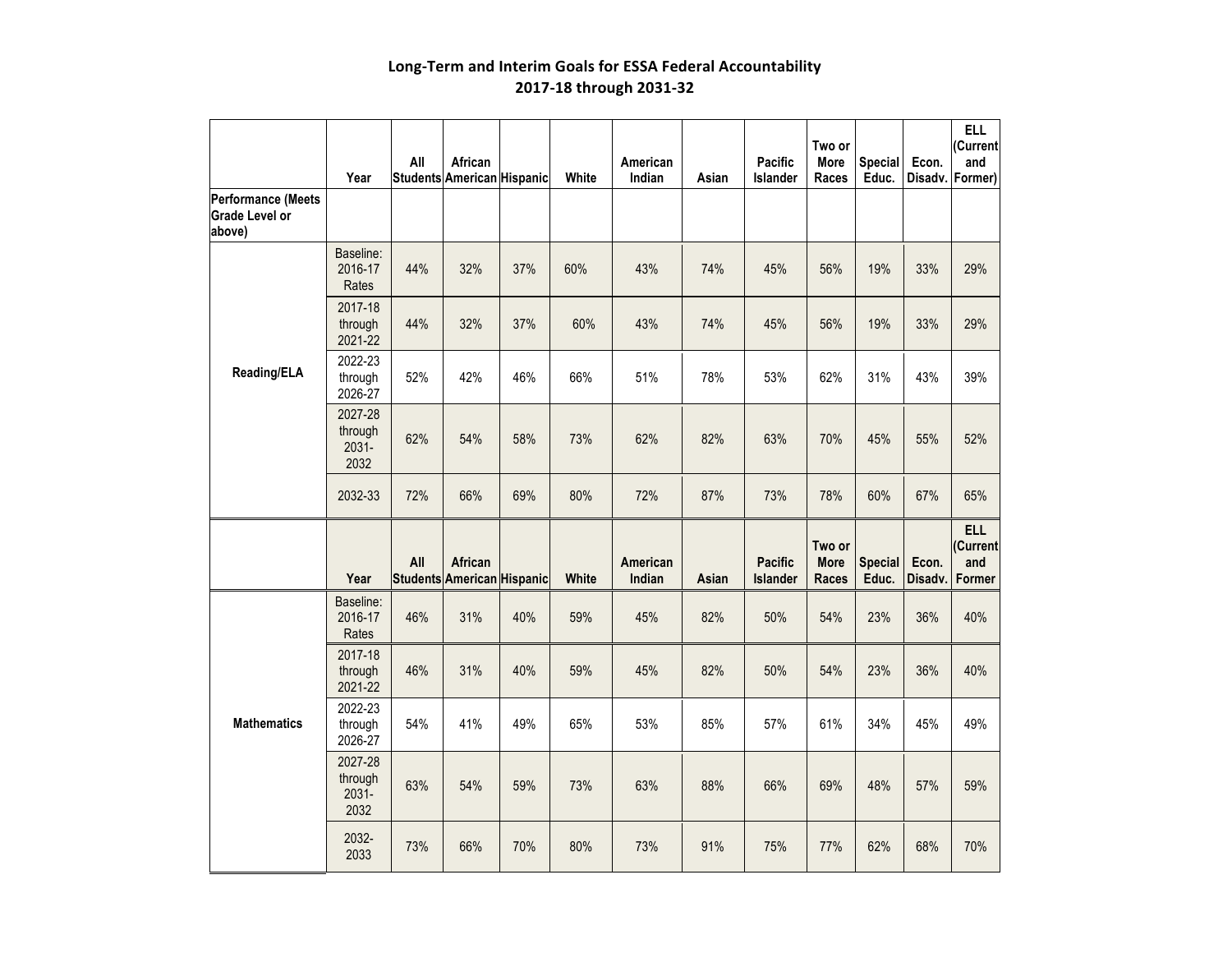|                                                       | Year                                | All | African<br>Students American Hispanic |     | White | American<br>Indian | Asian | Pacific<br>Islander        | Two or<br>More<br>Races        | <b>Special</b><br>Educ. | Econ.<br>Disadv. | <b>ELL</b><br>(Current<br>and<br>Former) |
|-------------------------------------------------------|-------------------------------------|-----|---------------------------------------|-----|-------|--------------------|-------|----------------------------|--------------------------------|-------------------------|------------------|------------------------------------------|
| Performance (Meets<br><b>Grade Level or</b><br>above) |                                     |     |                                       |     |       |                    |       |                            |                                |                         |                  |                                          |
|                                                       | Baseline:<br>2016-17<br>Rates       | 44% | 32%                                   | 37% | 60%   | 43%                | 74%   | 45%                        | 56%                            | 19%                     | 33%              | 29%                                      |
|                                                       | 2017-18<br>through<br>2021-22       | 44% | 32%                                   | 37% | 60%   | 43%                | 74%   | 45%                        | 56%                            | 19%                     | 33%              | 29%                                      |
| Reading/ELA                                           | 2022-23<br>through<br>2026-27       | 52% | 42%                                   | 46% | 66%   | 51%                | 78%   | 53%                        | 62%                            | 31%                     | 43%              | 39%                                      |
|                                                       | 2027-28<br>through<br>2031-<br>2032 | 62% | 54%                                   | 58% | 73%   | 62%                | 82%   | 63%                        | 70%                            | 45%                     | 55%              | 52%                                      |
|                                                       | 2032-33                             | 72% | 66%                                   | 69% | 80%   | 72%                | 87%   | 73%                        | 78%                            | 60%                     | 67%              | 65%                                      |
|                                                       | Year                                | All | African<br>Students American Hispanic |     | White | American<br>Indian | Asian | <b>Pacific</b><br>Islander | Two or<br><b>More</b><br>Races | <b>Special</b><br>Educ. | Econ.<br>Disadv. | <b>ELL</b><br>(Current<br>and<br>Former  |
|                                                       | Baseline:<br>2016-17<br>Rates       | 46% | 31%                                   | 40% | 59%   | 45%                | 82%   | 50%                        | 54%                            | 23%                     | 36%              | 40%                                      |
|                                                       | 2017-18<br>through<br>2021-22       | 46% | 31%                                   | 40% | 59%   | 45%                | 82%   | 50%                        | 54%                            | 23%                     | 36%              | 40%                                      |
| <b>Mathematics</b>                                    | 2022-23<br>through<br>2026-27       | 54% | 41%                                   | 49% | 65%   | 53%                | 85%   | 57%                        | 61%                            | 34%                     | 45%              | 49%                                      |
|                                                       | 2027-28<br>through<br>2031-<br>2032 | 63% | 54%                                   | 59% | 73%   | 63%                | 88%   | 66%                        | 69%                            | 48%                     | 57%              | 59%                                      |
|                                                       | 2032-<br>2033                       | 73% | 66%                                   | 70% | 80%   | 73%                | 91%   | 75%                        | 77%                            | 62%                     | 68%              | 70%                                      |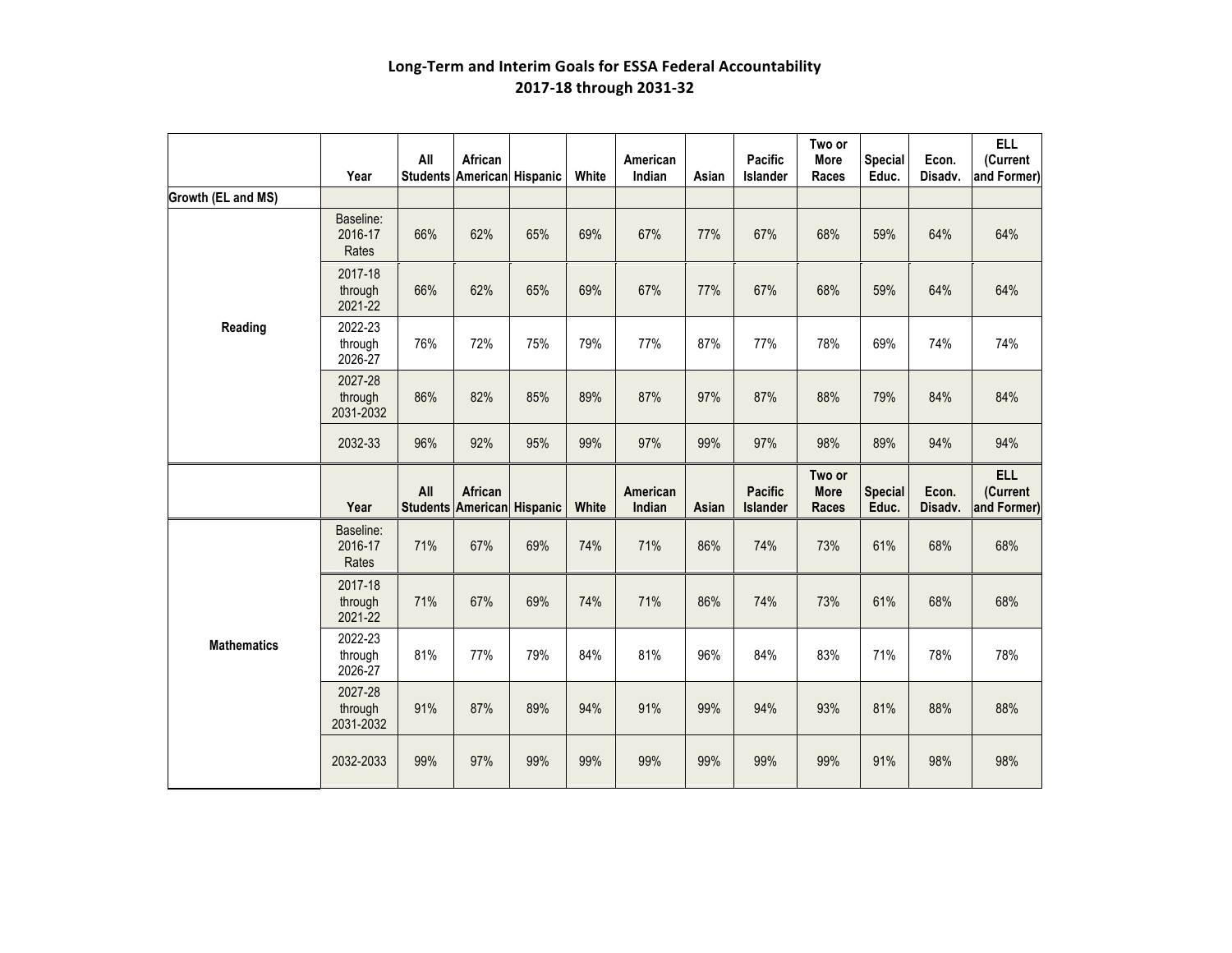|                    | Year                            | All                    | African<br>Students American Hispanic |     | White | American<br>Indian | Asian | Pacific<br>Islander        | Two or<br><b>More</b><br>Races        | <b>Special</b><br>Educ. | Econ.<br>Disadv. | <b>ELL</b><br>(Current<br>and Former) |
|--------------------|---------------------------------|------------------------|---------------------------------------|-----|-------|--------------------|-------|----------------------------|---------------------------------------|-------------------------|------------------|---------------------------------------|
| Growth (EL and MS) |                                 |                        |                                       |     |       |                    |       |                            |                                       |                         |                  |                                       |
|                    | Baseline:<br>2016-17<br>Rates   | 66%                    | 62%                                   | 65% | 69%   | 67%                | 77%   | 67%                        | 68%                                   | 59%                     | 64%              | 64%                                   |
|                    | 2017-18<br>through<br>2021-22   | 66%                    | 62%                                   | 65% | 69%   | 67%                | 77%   | 67%                        | 68%                                   | 59%                     | 64%              | 64%                                   |
| Reading            | 2022-23<br>through<br>2026-27   | 76%                    | 72%                                   | 75% | 79%   | 77%                | 87%   | 77%                        | 78%                                   | 69%                     | 74%              | 74%                                   |
|                    | 2027-28<br>through<br>2031-2032 | 86%                    | 82%                                   | 85% | 89%   | 87%                | 97%   | 87%                        | 88%                                   | 79%                     | 84%              | 84%                                   |
|                    | 2032-33                         | 96%                    | 92%                                   | 95% | 99%   | 97%                | 99%   | 97%                        | 98%                                   | 89%                     | 94%              | 94%                                   |
|                    | Year                            | All<br><b>Students</b> | African<br>American Hispanic          |     | White | American<br>Indian | Asian | <b>Pacific</b><br>Islander | Two or<br><b>More</b><br><b>Races</b> | <b>Special</b><br>Educ. | Econ.<br>Disadv. | <b>ELL</b><br>(Current<br>and Former) |
|                    | Baseline:<br>2016-17<br>Rates   | 71%                    | 67%                                   | 69% | 74%   | 71%                | 86%   | 74%                        | 73%                                   | 61%                     | 68%              | 68%                                   |
|                    | 2017-18<br>through<br>2021-22   | 71%                    | 67%                                   | 69% | 74%   | 71%                | 86%   | 74%                        | 73%                                   | 61%                     | 68%              | 68%                                   |
| <b>Mathematics</b> | 2022-23<br>through<br>2026-27   | 81%                    | 77%                                   | 79% | 84%   | 81%                | 96%   | 84%                        | 83%                                   | 71%                     | 78%              | 78%                                   |
|                    | 2027-28<br>through<br>2031-2032 | 91%                    | 87%                                   | 89% | 94%   | 91%                | 99%   | 94%                        | 93%                                   | 81%                     | 88%              | 88%                                   |
|                    | 2032-2033                       | 99%                    | 97%                                   | 99% | 99%   | 99%                | 99%   | 99%                        | 99%                                   | 91%                     | 98%              | 98%                                   |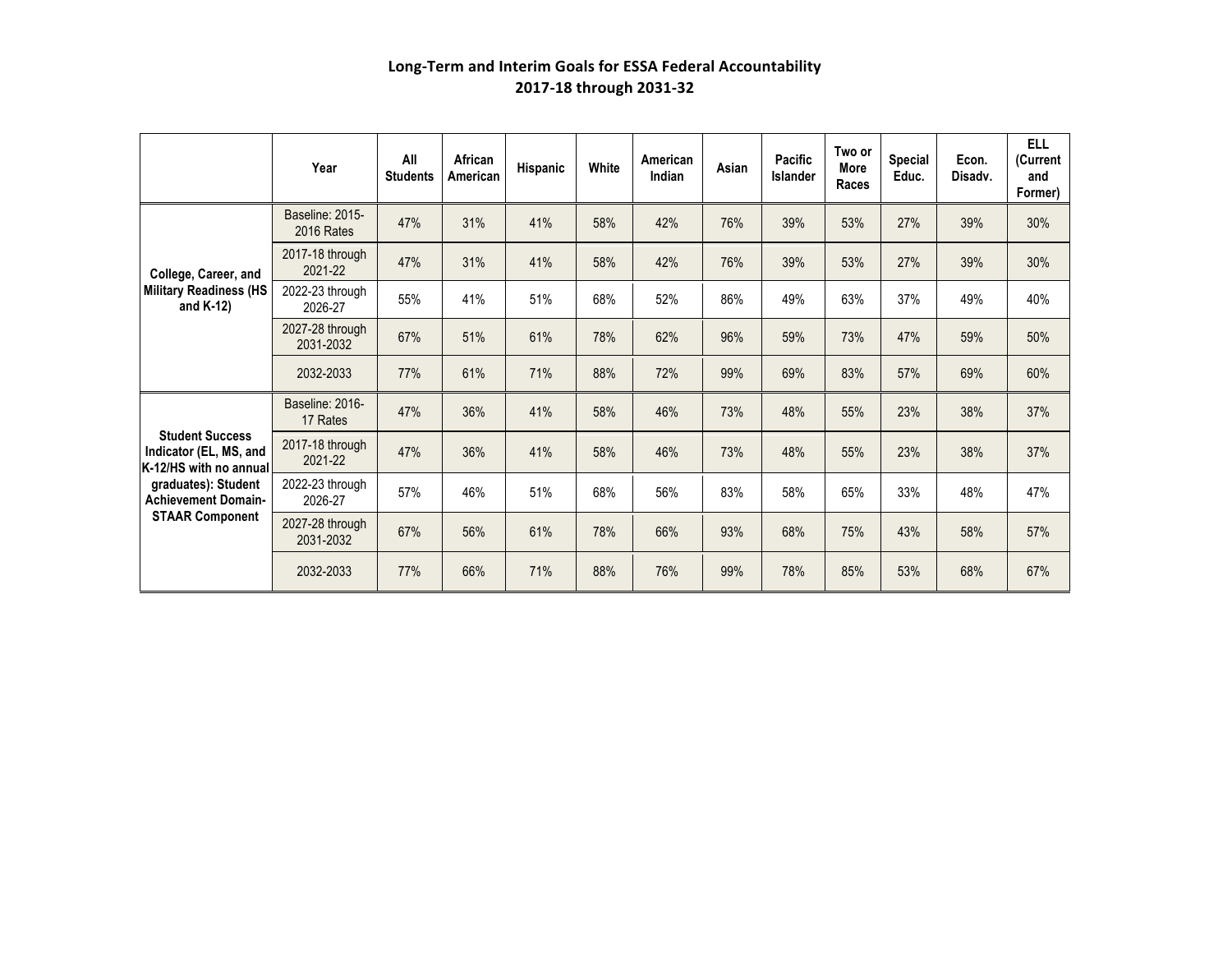|                                                                                                                                                           | Year                          | All<br><b>Students</b> | African<br>American | Hispanic | White | American<br>Indian | Asian | Pacific<br><b>Islander</b> | Two or<br>More<br>Races | <b>Special</b><br>Educ. | Econ.<br>Disadv. | <b>ELL</b><br>(Current<br>and<br>Former) |
|-----------------------------------------------------------------------------------------------------------------------------------------------------------|-------------------------------|------------------------|---------------------|----------|-------|--------------------|-------|----------------------------|-------------------------|-------------------------|------------------|------------------------------------------|
| College, Career, and<br><b>Military Readiness (HS</b><br>and $K-12$ )                                                                                     | Baseline: 2015-<br>2016 Rates | 47%                    | 31%                 | 41%      | 58%   | 42%                | 76%   | 39%                        | 53%                     | 27%                     | 39%              | 30%                                      |
|                                                                                                                                                           | 2017-18 through<br>2021-22    | 47%                    | 31%                 | 41%      | 58%   | 42%                | 76%   | 39%                        | 53%                     | 27%                     | 39%              | 30%                                      |
|                                                                                                                                                           | 2022-23 through<br>2026-27    | 55%                    | 41%                 | 51%      | 68%   | 52%                | 86%   | 49%                        | 63%                     | 37%                     | 49%              | 40%                                      |
|                                                                                                                                                           | 2027-28 through<br>2031-2032  | 67%                    | 51%                 | 61%      | 78%   | 62%                | 96%   | 59%                        | 73%                     | 47%                     | 59%              | 50%                                      |
|                                                                                                                                                           | 2032-2033                     | 77%                    | 61%                 | 71%      | 88%   | 72%                | 99%   | 69%                        | 83%                     | 57%                     | 69%              | 60%                                      |
| <b>Student Success</b><br>Indicator (EL, MS, and<br>K-12/HS with no annual<br>graduates): Student<br><b>Achievement Domain-</b><br><b>STAAR Component</b> | Baseline: 2016-<br>17 Rates   | 47%                    | 36%                 | 41%      | 58%   | 46%                | 73%   | 48%                        | 55%                     | 23%                     | 38%              | 37%                                      |
|                                                                                                                                                           | 2017-18 through<br>2021-22    | 47%                    | 36%                 | 41%      | 58%   | 46%                | 73%   | 48%                        | 55%                     | 23%                     | 38%              | 37%                                      |
|                                                                                                                                                           | 2022-23 through<br>2026-27    | 57%                    | 46%                 | 51%      | 68%   | 56%                | 83%   | 58%                        | 65%                     | 33%                     | 48%              | 47%                                      |
|                                                                                                                                                           | 2027-28 through<br>2031-2032  | 67%                    | 56%                 | 61%      | 78%   | 66%                | 93%   | 68%                        | 75%                     | 43%                     | 58%              | 57%                                      |
|                                                                                                                                                           | 2032-2033                     | 77%                    | 66%                 | 71%      | 88%   | 76%                | 99%   | 78%                        | 85%                     | 53%                     | 68%              | 67%                                      |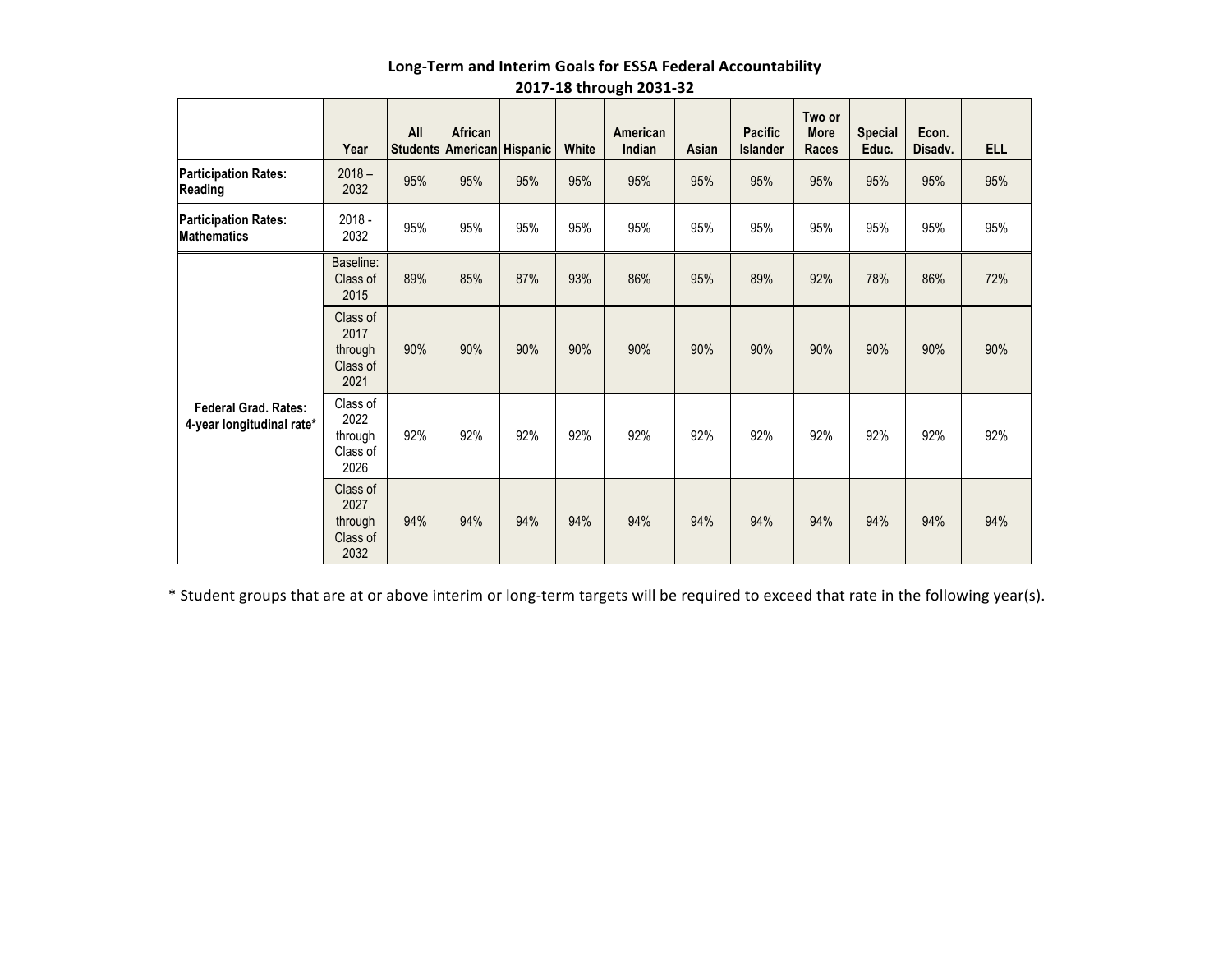|                                                          | Year                                            | All | African | <b>Students American Hispanic</b> | White | American<br>Indian | Asian | <b>Pacific</b><br><b>Islander</b> | Two or<br><b>More</b><br><b>Races</b> | <b>Special</b><br>Educ. | Econ.<br>Disadv. | <b>ELL</b> |
|----------------------------------------------------------|-------------------------------------------------|-----|---------|-----------------------------------|-------|--------------------|-------|-----------------------------------|---------------------------------------|-------------------------|------------------|------------|
| <b>Participation Rates:</b><br>Reading                   | $2018 -$<br>2032                                | 95% | 95%     | 95%                               | 95%   | 95%                | 95%   | 95%                               | 95%                                   | 95%                     | 95%              | 95%        |
| <b>Participation Rates:</b><br><b>Mathematics</b>        | $2018 -$<br>2032                                | 95% | 95%     | 95%                               | 95%   | 95%                | 95%   | 95%                               | 95%                                   | 95%                     | 95%              | 95%        |
|                                                          | Baseline:<br>Class of<br>2015                   | 89% | 85%     | 87%                               | 93%   | 86%                | 95%   | 89%                               | 92%                                   | 78%                     | 86%              | 72%        |
|                                                          | Class of<br>2017<br>through<br>Class of<br>2021 | 90% | 90%     | 90%                               | 90%   | 90%                | 90%   | 90%                               | 90%                                   | 90%                     | 90%              | 90%        |
| <b>Federal Grad, Rates:</b><br>4-year longitudinal rate* | Class of<br>2022<br>through<br>Class of<br>2026 | 92% | 92%     | 92%                               | 92%   | 92%                | 92%   | 92%                               | 92%                                   | 92%                     | 92%              | 92%        |
|                                                          | Class of<br>2027<br>through<br>Class of<br>2032 | 94% | 94%     | 94%                               | 94%   | 94%                | 94%   | 94%                               | 94%                                   | 94%                     | 94%              | 94%        |

\* Student groups that are at or above interim or long-term targets will be required to exceed that rate in the following year(s).